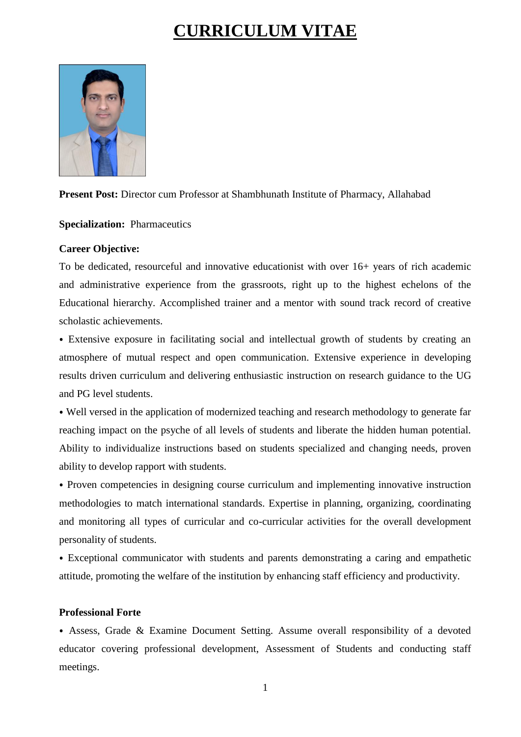# **CURRICULUM VITAE**



**Present Post:** Director cum Professor at Shambhunath Institute of Pharmacy, Allahabad

**Specialization:** Pharmaceutics

## **Career Objective:**

To be dedicated, resourceful and innovative educationist with over 16+ years of rich academic and administrative experience from the grassroots, right up to the highest echelons of the Educational hierarchy. Accomplished trainer and a mentor with sound track record of creative scholastic achievements.

⦁ Extensive exposure in facilitating social and intellectual growth of students by creating an atmosphere of mutual respect and open communication. Extensive experience in developing results driven curriculum and delivering enthusiastic instruction on research guidance to the UG and PG level students.

⦁ Well versed in the application of modernized teaching and research methodology to generate far reaching impact on the psyche of all levels of students and liberate the hidden human potential. Ability to individualize instructions based on students specialized and changing needs, proven ability to develop rapport with students.

⦁ Proven competencies in designing course curriculum and implementing innovative instruction methodologies to match international standards. Expertise in planning, organizing, coordinating and monitoring all types of curricular and co-curricular activities for the overall development personality of students.

⦁ Exceptional communicator with students and parents demonstrating a caring and empathetic attitude, promoting the welfare of the institution by enhancing staff efficiency and productivity.

#### **Professional Forte**

⦁ Assess, Grade & Examine Document Setting. Assume overall responsibility of a devoted educator covering professional development, Assessment of Students and conducting staff meetings.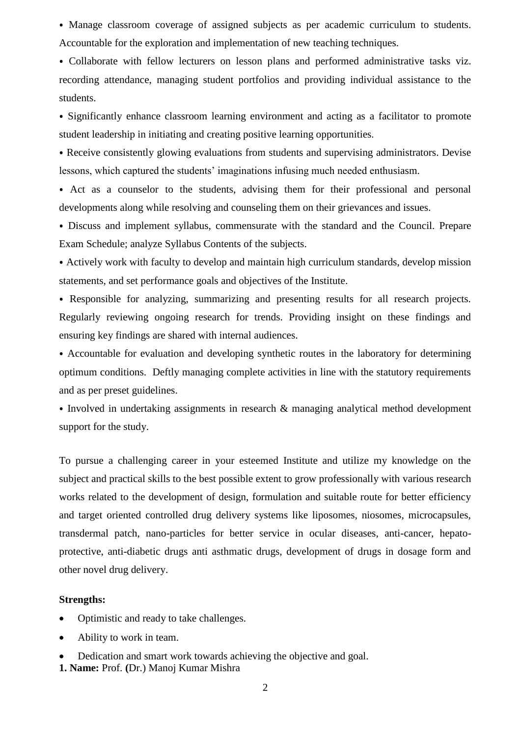⦁ Manage classroom coverage of assigned subjects as per academic curriculum to students. Accountable for the exploration and implementation of new teaching techniques.

⦁ Collaborate with fellow lecturers on lesson plans and performed administrative tasks viz. recording attendance, managing student portfolios and providing individual assistance to the students.

⦁ Significantly enhance classroom learning environment and acting as a facilitator to promote student leadership in initiating and creating positive learning opportunities.

⦁ Receive consistently glowing evaluations from students and supervising administrators. Devise lessons, which captured the students' imaginations infusing much needed enthusiasm.

⦁ Act as a counselor to the students, advising them for their professional and personal developments along while resolving and counseling them on their grievances and issues.

⦁ Discuss and implement syllabus, commensurate with the standard and the Council. Prepare Exam Schedule; analyze Syllabus Contents of the subjects.

⦁ Actively work with faculty to develop and maintain high curriculum standards, develop mission statements, and set performance goals and objectives of the Institute.

⦁ Responsible for analyzing, summarizing and presenting results for all research projects. Regularly reviewing ongoing research for trends. Providing insight on these findings and ensuring key findings are shared with internal audiences.

⦁ Accountable for evaluation and developing synthetic routes in the laboratory for determining optimum conditions. Deftly managing complete activities in line with the statutory requirements and as per preset guidelines.

⦁ Involved in undertaking assignments in research & managing analytical method development support for the study.

To pursue a challenging career in your esteemed Institute and utilize my knowledge on the subject and practical skills to the best possible extent to grow professionally with various research works related to the development of design, formulation and suitable route for better efficiency and target oriented controlled drug delivery systems like liposomes, niosomes, microcapsules, transdermal patch, nano-particles for better service in ocular diseases, anti-cancer, hepatoprotective, anti-diabetic drugs anti asthmatic drugs, development of drugs in dosage form and other novel drug delivery.

#### **Strengths:**

- Optimistic and ready to take challenges.
- Ability to work in team.
- Dedication and smart work towards achieving the objective and goal.
- **1. Name:** Prof. **(**Dr.) Manoj Kumar Mishra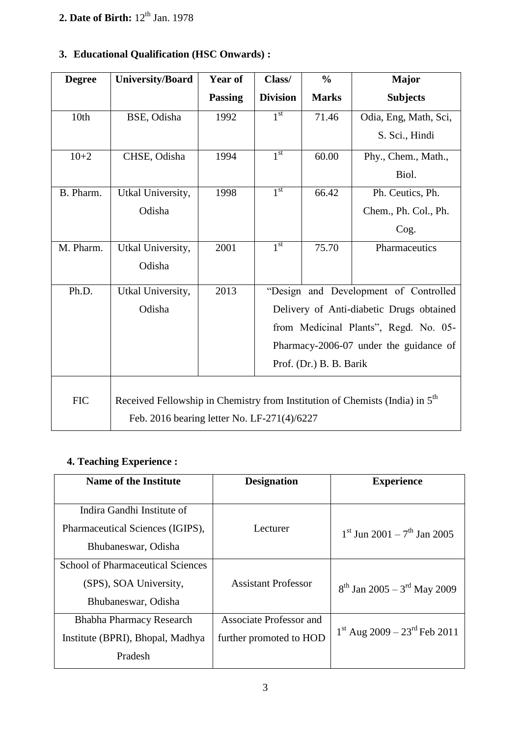# **2. Date of Birth:**  $12^{\text{th}}$  Jan. 1978

| <b>Degree</b> | <b>University/Board</b>                                                                  | Year of        | Class/          | $\frac{0}{0}$           | <b>Major</b>                             |
|---------------|------------------------------------------------------------------------------------------|----------------|-----------------|-------------------------|------------------------------------------|
|               |                                                                                          | <b>Passing</b> | <b>Division</b> | <b>Marks</b>            | <b>Subjects</b>                          |
| 10th          | BSE, Odisha                                                                              | 1992           | 1 <sup>st</sup> | 71.46                   | Odia, Eng, Math, Sci,                    |
|               |                                                                                          |                |                 |                         | S. Sci., Hindi                           |
| $10 + 2$      | CHSE, Odisha                                                                             | 1994           | 1 <sup>st</sup> | 60.00                   | Phy., Chem., Math.,                      |
|               |                                                                                          |                |                 |                         | Biol.                                    |
| B. Pharm.     | Utkal University,                                                                        | 1998           | 1 <sup>st</sup> | 66.42                   | Ph. Ceutics, Ph.                         |
|               | Odisha                                                                                   |                |                 |                         | Chem., Ph. Col., Ph.                     |
|               |                                                                                          |                |                 |                         | Cog.                                     |
| M. Pharm.     | Utkal University,                                                                        | 2001           | 1 <sup>st</sup> | 75.70                   | Pharmaceutics                            |
|               | Odisha                                                                                   |                |                 |                         |                                          |
| Ph.D.         | Utkal University,                                                                        | 2013           |                 |                         | "Design and Development of Controlled    |
|               | Odisha                                                                                   |                |                 |                         | Delivery of Anti-diabetic Drugs obtained |
|               |                                                                                          |                |                 |                         | from Medicinal Plants", Regd. No. 05-    |
|               |                                                                                          |                |                 |                         | Pharmacy-2006-07 under the guidance of   |
|               |                                                                                          |                |                 | Prof. (Dr.) B. B. Barik |                                          |
|               |                                                                                          |                |                 |                         |                                          |
| <b>FIC</b>    | Received Fellowship in Chemistry from Institution of Chemists (India) in 5 <sup>th</sup> |                |                 |                         |                                          |
|               | Feb. 2016 bearing letter No. LF-271(4)/6227                                              |                |                 |                         |                                          |

# **3. Educational Qualification (HSC Onwards) :**

# **4. Teaching Experience :**

| <b>Name of the Institute</b>             | <b>Designation</b>             | <b>Experience</b>                            |  |
|------------------------------------------|--------------------------------|----------------------------------------------|--|
|                                          |                                |                                              |  |
| Indira Gandhi Institute of               |                                |                                              |  |
| Pharmaceutical Sciences (IGIPS),         | Lecturer                       | $1^{st}$ Jun 2001 – $7^{th}$ Jan 2005        |  |
| Bhubaneswar, Odisha                      |                                |                                              |  |
| <b>School of Pharmaceutical Sciences</b> |                                |                                              |  |
|                                          |                                |                                              |  |
| (SPS), SOA University,                   | <b>Assistant Professor</b>     | $8^{th}$ Jan 2005 – 3 <sup>rd</sup> May 2009 |  |
| Bhubaneswar, Odisha                      |                                |                                              |  |
| <b>Bhabha Pharmacy Research</b>          | <b>Associate Professor and</b> |                                              |  |
| Institute (BPRI), Bhopal, Madhya         | further promoted to HOD        | $1st$ Aug 2009 – 23 <sup>rd</sup> Feb 2011   |  |
| Pradesh                                  |                                |                                              |  |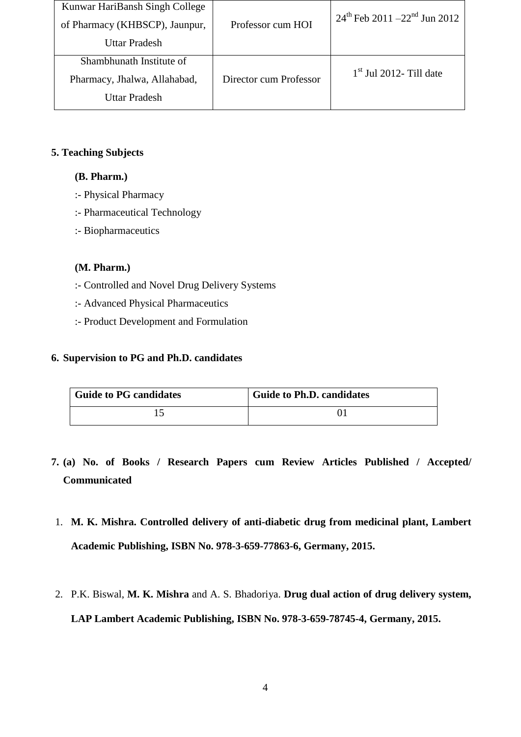| Kunwar HariBansh Singh College<br>of Pharmacy (KHBSCP), Jaunpur,<br>Uttar Pradesh | Professor cum HOI      | $24^{\text{th}}$ Feb 2011 –22 <sup>nd</sup> Jun 2012 |
|-----------------------------------------------------------------------------------|------------------------|------------------------------------------------------|
| Shambhunath Institute of<br>Pharmacy, Jhalwa, Allahabad,<br>Uttar Pradesh         | Director cum Professor | $1st$ Jul 2012- Till date                            |

## **5. Teaching Subjects**

## **(B. Pharm.)**

- :- Physical Pharmacy
- :- Pharmaceutical Technology
- :- Biopharmaceutics

## **(M. Pharm.)**

- :- Controlled and Novel Drug Delivery Systems
- :- Advanced Physical Pharmaceutics
- :- Product Development and Formulation

## **6. Supervision to PG and Ph.D. candidates**

| <b>Guide to PG candidates</b> | <b>Guide to Ph.D. candidates</b> |
|-------------------------------|----------------------------------|
|                               |                                  |

- **7. (a) No. of Books / Research Papers cum Review Articles Published / Accepted/ Communicated**
- 1. **M. K. Mishra. Controlled delivery of anti-diabetic drug from medicinal plant, Lambert Academic Publishing, ISBN No. 978-3-659-77863-6, Germany, 2015.**
- 2. P.K. Biswal, **M. K. Mishra** and A. S. Bhadoriya. **Drug dual action of drug delivery system, LAP Lambert Academic Publishing, ISBN No. 978-3-659-78745-4, Germany, 2015.**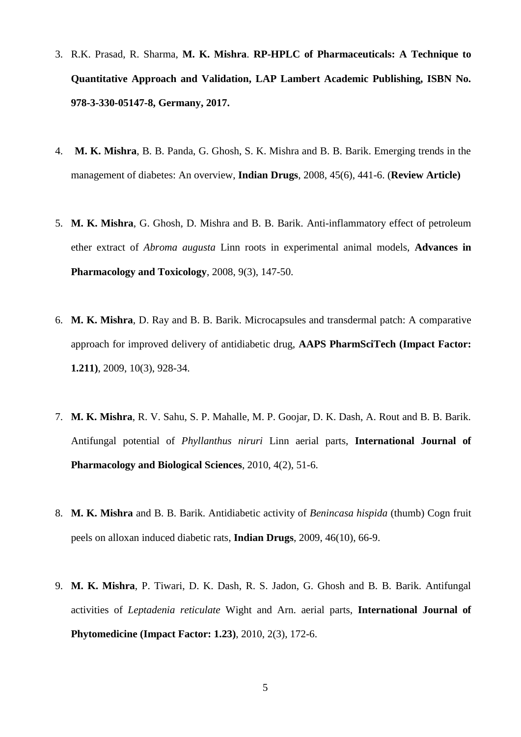- 3. R.K. Prasad, R. Sharma, **M. K. Mishra**. **RP-HPLC of Pharmaceuticals: A Technique to Quantitative Approach and Validation, LAP Lambert Academic Publishing, ISBN No. 978-3-330-05147-8, Germany, 2017.**
- 4. **M. K. Mishra**, B. B. Panda, G. Ghosh, S. K. Mishra and B. B. Barik. Emerging trends in the management of diabetes: An overview, **Indian Drugs**, 2008, 45(6), 441-6. (**Review Article)**
- 5. **M. K. Mishra**, G. Ghosh, D. Mishra and B. B. Barik. Anti-inflammatory effect of petroleum ether extract of *Abroma augusta* Linn roots in experimental animal models, **Advances in Pharmacology and Toxicology**, 2008, 9(3), 147-50.
- 6. **M. K. Mishra**, D. Ray and B. B. Barik. Microcapsules and transdermal patch: A comparative approach for improved delivery of antidiabetic drug, **AAPS PharmSciTech (Impact Factor: 1.211)**, 2009, 10(3), 928-34.
- 7. **M. K. Mishra**, R. V. Sahu, S. P. Mahalle, M. P. Goojar, D. K. Dash, A. Rout and B. B. Barik. Antifungal potential of *Phyllanthus niruri* Linn aerial parts, **International Journal of Pharmacology and Biological Sciences**, 2010, 4(2), 51-6.
- 8. **M. K. Mishra** and B. B. Barik. Antidiabetic activity of *Benincasa hispida* (thumb) Cogn fruit peels on alloxan induced diabetic rats, **Indian Drugs**, 2009, 46(10), 66-9.
- 9. **M. K. Mishra**, P. Tiwari, D. K. Dash, R. S. Jadon, G. Ghosh and B. B. Barik. Antifungal activities of *Leptadenia reticulate* Wight and Arn. aerial parts, **International Journal of Phytomedicine (Impact Factor: 1.23)**, 2010, 2(3), 172-6.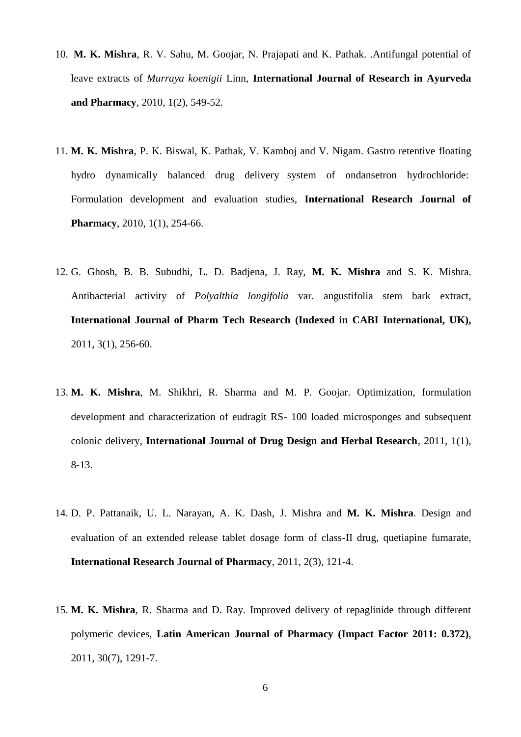- 10. **M. K. Mishra**, R. V. Sahu, M. Goojar, N. Prajapati and K. Pathak. .Antifungal potential of leave extracts of *Murraya koenigii* Linn, **International Journal of Research in Ayurveda and Pharmacy**, 2010, 1(2), 549-52.
- 11. **M. K. Mishra**, P. K. Biswal, K. Pathak, V. Kamboj and V. Nigam. Gastro retentive floating hydro dynamically balanced drug delivery system of ondansetron hydrochloride: Formulation development and evaluation studies, **International Research Journal of Pharmacy**, 2010, 1(1), 254-66.
- 12. G. Ghosh, B. B. Subudhi, L. D. Badjena, J. Ray, **M. K. Mishra** and S. K. Mishra. Antibacterial activity of *Polyalthia longifolia* var. angustifolia stem bark extract, **International Journal of Pharm Tech Research (Indexed in CABI International, UK),** 2011, 3(1), 256-60.
- 13. **M. K. Mishra**, M. Shikhri, R. Sharma and M. P. Goojar. Optimization, formulation development and characterization of eudragit RS- 100 loaded microsponges and subsequent colonic delivery, **International Journal of Drug Design and Herbal Research**, 2011, 1(1), 8-13.
- 14. D. P. Pattanaik, U. L. Narayan, A. K. Dash, J. Mishra and **M. K. Mishra**. Design and evaluation of an extended release tablet dosage form of class-II drug, quetiapine fumarate, **International Research Journal of Pharmacy**, 2011, 2(3), 121-4.
- 15. **M. K. Mishra**, R. Sharma and D. Ray. Improved delivery of repaglinide through different polymeric devices, **Latin American Journal of Pharmacy (Impact Factor 2011: 0.372)**, 2011, 30(7), 1291-7.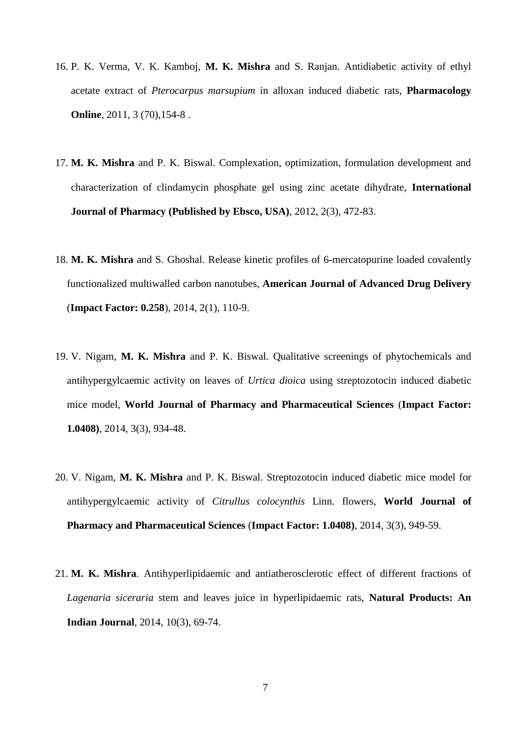- 16. P. K. Verma, V. K. Kamboj, **M. K. Mishra** and S. Ranjan. Antidiabetic activity of ethyl acetate extract of *Pterocarpus marsupium* in alloxan induced diabetic rats, **Pharmacology Online**, 2011, 3 (70), 154-8.
- 17. **M. K. Mishra** and P. K. Biswal. Complexation, optimization, formulation development and characterization of clindamycin phosphate gel using zinc acetate dihydrate, **International Journal of Pharmacy (Published by Ebsco, USA)**, 2012, 2(3), 472-83.
- 18. **M. K. Mishra** and S. Ghoshal. Release kinetic profiles of 6-mercatopurine loaded covalently functionalized multiwalled carbon nanotubes, **American Journal of Advanced Drug Delivery**  (**Impact Factor: 0.258**), 2014, 2(1), 110-9.
- 19. V. Nigam, **M. K. Mishra** and P. K. Biswal. Qualitative screenings of phytochemicals and antihypergylcaemic activity on leaves of *Urtica dioica* using streptozotocin induced diabetic mice model, **World Journal of Pharmacy and Pharmaceutical Sciences** (**Impact Factor: 1.0408)**, 2014, 3(3), 934-48.
- 20. V. Nigam, **M. K. Mishra** and P. K. Biswal. Streptozotocin induced diabetic mice model for antihypergylcaemic activity of *Citrullus colocynthis* Linn. flowers, **World Journal of Pharmacy and Pharmaceutical Sciences** (**Impact Factor: 1.0408)**, 2014, 3(3), 949-59.
- 21. **M. K. Mishra**. Antihyperlipidaemic and antiatherosclerotic effect of different fractions of *Lagenaria siceraria* stem and leaves juice in hyperlipidaemic rats, **Natural Products: An Indian Journal**, 2014, 10(3), 69-74.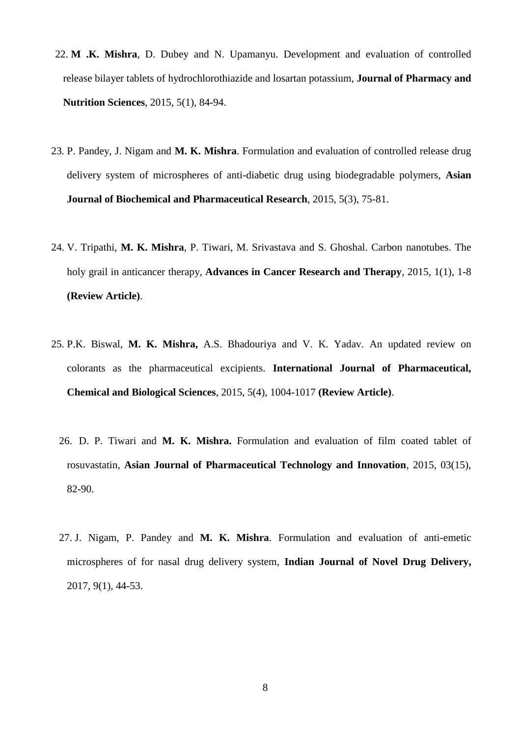- 22. **M .K. Mishra**, D. Dubey and N. Upamanyu. Development and evaluation of controlled release bilayer tablets of hydrochlorothiazide and losartan potassium, **Journal of Pharmacy and Nutrition Sciences**, 2015, 5(1), 84-94.
- 23. P. Pandey, J. Nigam and **M. K. Mishra**. Formulation and evaluation of controlled release drug delivery system of microspheres of anti-diabetic drug using biodegradable polymers, **Asian Journal of Biochemical and Pharmaceutical Research**, 2015, 5(3), 75-81.
- 24. V. Tripathi, **M. K. Mishra**, P. Tiwari, M. Srivastava and S. Ghoshal. Carbon nanotubes. The holy grail in anticancer therapy, **Advances in Cancer Research and Therapy**, 2015, 1(1), 1-8 **(Review Article)**.
- 25. P.K. Biswal, **M. K. Mishra,** A.S. Bhadouriya and V. K. Yadav. An updated review on colorants as the pharmaceutical excipients. **International Journal of Pharmaceutical, Chemical and Biological Sciences**, 2015, 5(4), 1004-1017 **(Review Article)**.
	- 26. D. P. Tiwari and **M. K. Mishra.** Formulation and evaluation of film coated tablet of rosuvastatin, **Asian Journal of Pharmaceutical Technology and Innovation**, 2015, 03(15), 82-90.
	- 27. J. Nigam, P. Pandey and **M. K. Mishra**. Formulation and evaluation of anti-emetic microspheres of for nasal drug delivery system, **Indian Journal of Novel Drug Delivery,**  2017, 9(1), 44-53.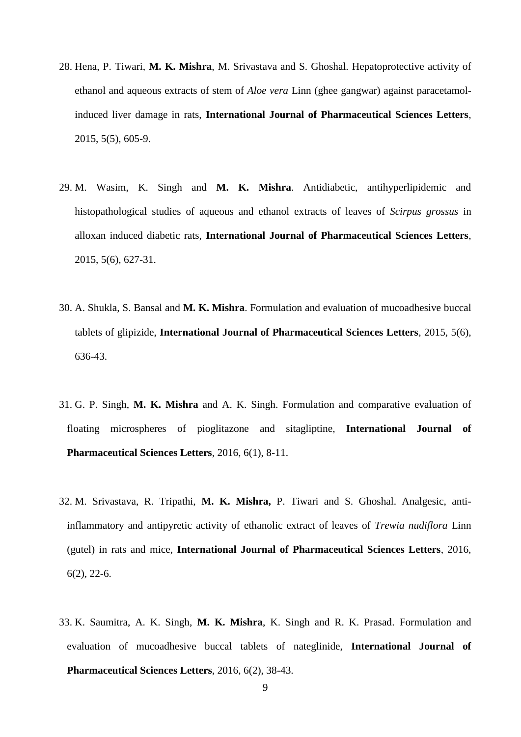- 28. Hena, P. Tiwari, **M. K. Mishra**, M. Srivastava and S. Ghoshal. Hepatoprotective activity of ethanol and aqueous extracts of stem of *Aloe vera* Linn (ghee gangwar) against paracetamolinduced liver damage in rats, **International Journal of Pharmaceutical Sciences Letters**, 2015, 5(5), 605-9.
- 29. M. Wasim, K. Singh and **M. K. Mishra**. Antidiabetic, antihyperlipidemic and histopathological studies of aqueous and ethanol extracts of leaves of *Scirpus grossus* in alloxan induced diabetic rats, **International Journal of Pharmaceutical Sciences Letters**, 2015, 5(6), 627-31.
- 30. A. Shukla, S. Bansal and **M. K. Mishra**. Formulation and evaluation of mucoadhesive buccal tablets of glipizide, **International Journal of Pharmaceutical Sciences Letters**, 2015, 5(6), 636-43.
- 31. G. P. Singh, **M. K. Mishra** and A. K. Singh. Formulation and comparative evaluation of floating microspheres of pioglitazone and sitagliptine, **International Journal of Pharmaceutical Sciences Letters**, 2016, 6(1), 8-11.
- 32. M. Srivastava, R. Tripathi, **M. K. Mishra,** P. Tiwari and S. Ghoshal. Analgesic, antiinflammatory and antipyretic activity of ethanolic extract of leaves of *Trewia nudiflora* Linn (gutel) in rats and mice, **International Journal of Pharmaceutical Sciences Letters**, 2016, 6(2), 22-6.
- 33. K. Saumitra, A. K. Singh, **M. K. Mishra**, K. Singh and R. K. Prasad. Formulation and evaluation of mucoadhesive buccal tablets of nateglinide, **International Journal of Pharmaceutical Sciences Letters**, 2016, 6(2), 38-43.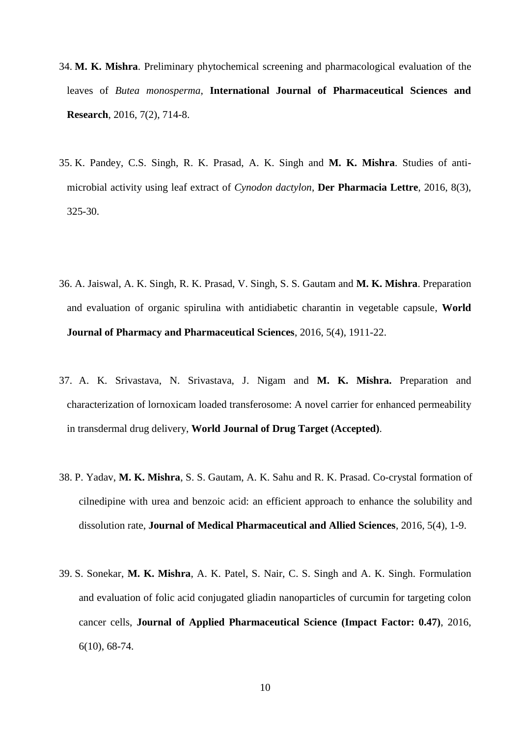- 34. **M. K. Mishra**. Preliminary phytochemical screening and pharmacological evaluation of the leaves of *Butea monosperma*, **International Journal of Pharmaceutical Sciences and Research**, 2016, 7(2), 714-8.
- 35. K. Pandey, C.S. Singh, R. K. Prasad, A. K. Singh and **M. K. Mishra**. Studies of antimicrobial activity using leaf extract of *Cynodon dactylon*, **Der Pharmacia Lettre**, 2016, 8(3), 325-30.
- 36. A. Jaiswal, A. K. Singh, R. K. Prasad, V. Singh, S. S. Gautam and **M. K. Mishra**. Preparation and evaluation of organic spirulina with antidiabetic charantin in vegetable capsule, **World Journal of Pharmacy and Pharmaceutical Sciences**, 2016, 5(4), 1911-22.
- 37. A. K. Srivastava, N. Srivastava, J. Nigam and **M. K. Mishra.** Preparation and characterization of lornoxicam loaded transferosome: A novel carrier for enhanced permeability in transdermal drug delivery, **World Journal of Drug Target (Accepted)**.
- 38. P. Yadav, **M. K. Mishra**, S. S. Gautam, A. K. Sahu and R. K. Prasad. Co-crystal formation of cilnedipine with urea and benzoic acid: an efficient approach to enhance the solubility and dissolution rate, **Journal of Medical Pharmaceutical and Allied Sciences**, 2016, 5(4), 1-9.
- 39. S. Sonekar, **M. K. Mishra**, A. K. Patel, S. Nair, C. S. Singh and A. K. Singh. Formulation and evaluation of folic acid conjugated gliadin nanoparticles of curcumin for targeting colon cancer cells, **Journal of Applied Pharmaceutical Science (Impact Factor: 0.47)**, 2016, 6(10), 68-74.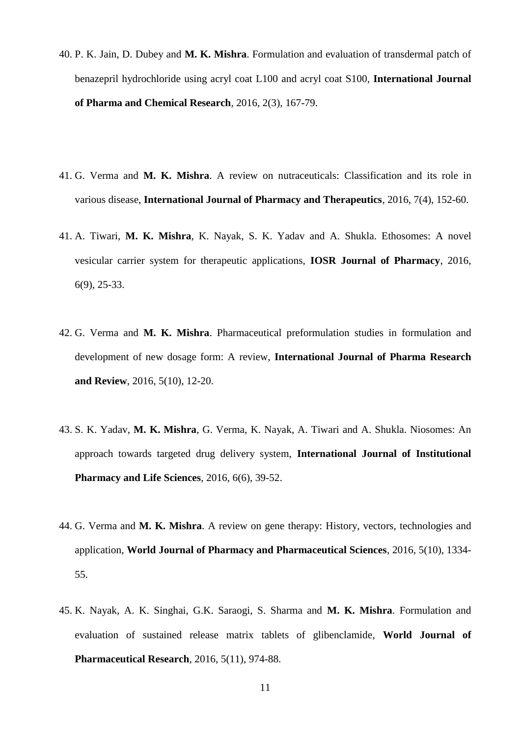- 40. P. K. Jain, D. Dubey and **M. K. Mishra**. Formulation and evaluation of transdermal patch of benazepril hydrochloride using acryl coat L100 and acryl coat S100, **International Journal of Pharma and Chemical Research**, 2016, 2(3), 167-79.
- 41. G. Verma and **M. K. Mishra**. A review on nutraceuticals: Classification and its role in various disease, **International Journal of Pharmacy and Therapeutics**, 2016, 7(4), 152-60.
- 41. A. Tiwari, **M. K. Mishra**, K. Nayak, S. K. Yadav and A. Shukla. Ethosomes: A novel vesicular carrier system for therapeutic applications, **IOSR Journal of Pharmacy**, 2016, 6(9), 25-33.
- 42. G. Verma and **M. K. Mishra**. Pharmaceutical preformulation studies in formulation and development of new dosage form: A review, **International Journal of Pharma Research and Review**, 2016, 5(10), 12-20.
- 43. S. K. Yadav, **M. K. Mishra**, G. Verma, K. Nayak, A. Tiwari and A. Shukla. Niosomes: An approach towards targeted drug delivery system, **International Journal of Institutional Pharmacy and Life Sciences**, 2016, 6(6), 39-52.
- 44. G. Verma and **M. K. Mishra**. A review on gene therapy: History, vectors, technologies and application, **World Journal of Pharmacy and Pharmaceutical Sciences**, 2016, 5(10), 1334- 55.
- 45. K. Nayak, A. K. Singhai, G.K. Saraogi, S. Sharma and **M. K. Mishra**. Formulation and evaluation of sustained release matrix tablets of glibenclamide, **World Journal of Pharmaceutical Research**, 2016, 5(11), 974-88.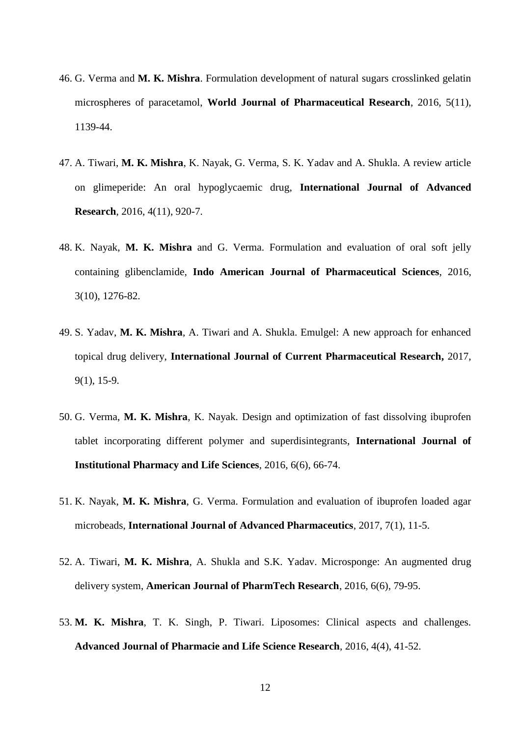- 46. G. Verma and **M. K. Mishra**. Formulation development of natural sugars crosslinked gelatin microspheres of paracetamol, **World Journal of Pharmaceutical Research**, 2016, 5(11), 1139-44.
- 47. A. Tiwari, **M. K. Mishra**, K. Nayak, G. Verma, S. K. Yadav and A. Shukla. A review article on glimeperide: An oral hypoglycaemic drug, **International Journal of Advanced Research**, 2016, 4(11), 920-7.
- 48. K. Nayak, **M. K. Mishra** and G. Verma. Formulation and evaluation of oral soft jelly containing glibenclamide, **Indo American Journal of Pharmaceutical Sciences**, 2016, 3(10), 1276-82.
- 49. S. Yadav, **M. K. Mishra**, A. Tiwari and A. Shukla. Emulgel: A new approach for enhanced topical drug delivery, **International Journal of Current Pharmaceutical Research,** 2017, 9(1), 15-9.
- 50. G. Verma, **M. K. Mishra**, K. Nayak. Design and optimization of fast dissolving ibuprofen tablet incorporating different polymer and superdisintegrants, **International Journal of Institutional Pharmacy and Life Sciences**, 2016, 6(6), 66-74.
- 51. K. Nayak, **M. K. Mishra**, G. Verma. Formulation and evaluation of ibuprofen loaded agar microbeads, **International Journal of Advanced Pharmaceutics**, 2017, 7(1), 11-5.
- 52. A. Tiwari, **M. K. Mishra**, A. Shukla and S.K. Yadav. Microsponge: An augmented drug delivery system, **American Journal of PharmTech Research**, 2016, 6(6), 79-95.
- 53. **M. K. Mishra**, T. K. Singh, P. Tiwari. Liposomes: Clinical aspects and challenges. **Advanced Journal of Pharmacie and Life Science Research**, 2016, 4(4), 41-52.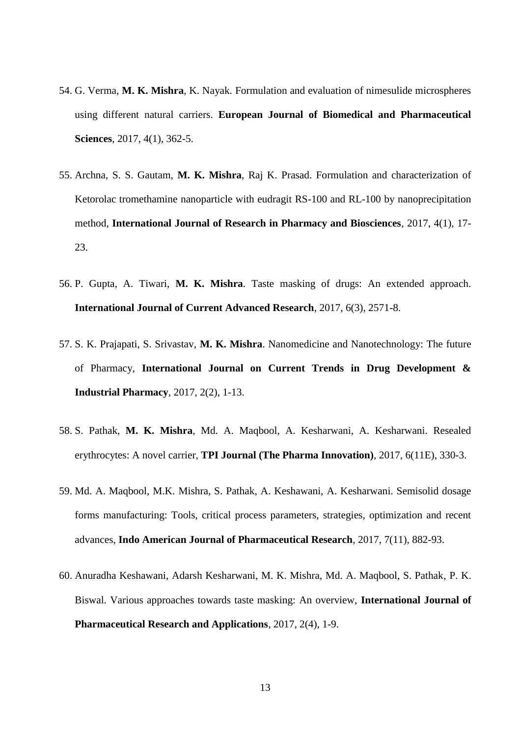- 54. G. Verma, **M. K. Mishra**, K. Nayak. Formulation and evaluation of nimesulide microspheres using different natural carriers. **European Journal of Biomedical and Pharmaceutical Sciences**, 2017, 4(1), 362-5.
- 55. Archna, S. S. Gautam, **M. K. Mishra**, Raj K. Prasad. Formulation and characterization of Ketorolac tromethamine nanoparticle with eudragit RS-100 and RL-100 by nanoprecipitation method, **International Journal of Research in Pharmacy and Biosciences**, 2017, 4(1), 17- 23.
- 56. P. Gupta, A. Tiwari, **M. K. Mishra**. Taste masking of drugs: An extended approach. **International Journal of Current Advanced Research**, 2017, 6(3), 2571-8.
- 57. S. K. Prajapati, S. Srivastav, **M. K. Mishra**. Nanomedicine and Nanotechnology: The future of Pharmacy, **International Journal on Current Trends in Drug Development & Industrial Pharmacy**, 2017, 2(2), 1-13.
- 58. S. Pathak, **M. K. Mishra**, Md. A. Maqbool, A. Kesharwani, A. Kesharwani. Resealed erythrocytes: A novel carrier, **TPI Journal (The Pharma Innovation)**, 2017, 6(11E), 330-3.
- 59. Md. A. Maqbool, M.K. Mishra, S. Pathak, A. Keshawani, A. Kesharwani. Semisolid dosage forms manufacturing: Tools, critical process parameters, strategies, optimization and recent advances, **Indo American Journal of Pharmaceutical Research**, 2017, 7(11), 882-93.
- 60. Anuradha Keshawani, Adarsh Kesharwani, M. K. Mishra, Md. A. Maqbool, S. Pathak, P. K. Biswal. Various approaches towards taste masking: An overview, **International Journal of Pharmaceutical Research and Applications**, 2017, 2(4), 1-9.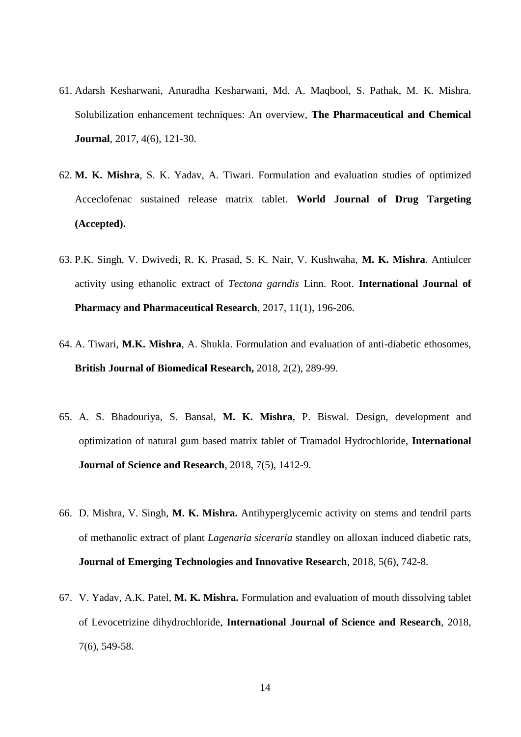- 61. Adarsh Kesharwani, Anuradha Kesharwani, Md. A. Maqbool, S. Pathak, M. K. Mishra. Solubilization enhancement techniques: An overview, **The Pharmaceutical and Chemical Journal**, 2017, 4(6), 121-30.
- 62. **M. K. Mishra**, S. K. Yadav, A. Tiwari. Formulation and evaluation studies of optimized Acceclofenac sustained release matrix tablet. **World Journal of Drug Targeting (Accepted).**
- 63. P.K. Singh, V. Dwivedi, R. K. Prasad, S. K. Nair, V. Kushwaha, **M. K. Mishra**. Antiulcer activity using ethanolic extract of *Tectona garndis* Linn. Root. **International Journal of Pharmacy and Pharmaceutical Research**, 2017, 11(1), 196-206.
- 64. A. Tiwari, **M.K. Mishra**, A. Shukla. Formulation and evaluation of anti-diabetic ethosomes, **British Journal of Biomedical Research,** 2018, 2(2), 289-99.
- 65. A. S. Bhadouriya, S. Bansal, **M. K. Mishra**, P. Biswal. Design, development and optimization of natural gum based matrix tablet of Tramadol Hydrochloride, **International Journal of Science and Research**, 2018, 7(5), 1412-9.
- 66. D. Mishra, V. Singh, **M. K. Mishra.** Antihyperglycemic activity on stems and tendril parts of methanolic extract of plant *Lagenaria siceraria* standley on alloxan induced diabetic rats, **Journal of Emerging Technologies and Innovative Research**, 2018, 5(6), 742-8.
- 67. V. Yadav, A.K. Patel, **M. K. Mishra.** Formulation and evaluation of mouth dissolving tablet of Levocetrizine dihydrochloride, **International Journal of Science and Research**, 2018, 7(6), 549-58.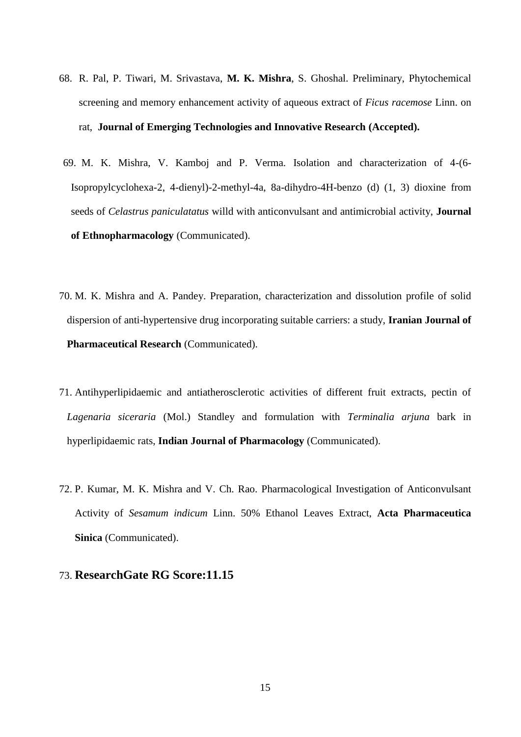- 68. R. Pal, P. Tiwari, M. Srivastava, **M. K. Mishra**, S. Ghoshal. Preliminary, Phytochemical screening and memory enhancement activity of aqueous extract of *Ficus racemose* Linn. on rat, **Journal of Emerging Technologies and Innovative Research (Accepted).**
- 69. M. K. Mishra, V. Kamboj and P. Verma. Isolation and characterization of 4-(6- Isopropylcyclohexa-2, 4-dienyl)-2-methyl-4a, 8a-dihydro-4H-benzo (d) (1, 3) dioxine from seeds of *Celastrus paniculatatus* willd with anticonvulsant and antimicrobial activity, **Journal of Ethnopharmacology** (Communicated).
- 70. M. K. Mishra and A. Pandey. Preparation, characterization and dissolution profile of solid dispersion of anti-hypertensive drug incorporating suitable carriers: a study, **Iranian Journal of Pharmaceutical Research** (Communicated).
- 71. Antihyperlipidaemic and antiatherosclerotic activities of different fruit extracts, pectin of *Lagenaria siceraria* (Mol.) Standley and formulation with *Terminalia arjuna* bark in hyperlipidaemic rats, **Indian Journal of Pharmacology** (Communicated).
- 72. P. Kumar, M. K. Mishra and V. Ch. Rao. Pharmacological Investigation of Anticonvulsant Activity of *Sesamum indicum* Linn. 50% Ethanol Leaves Extract, **Acta Pharmaceutica Sinica** (Communicated).

## 73. **ResearchGate RG Score:11.15**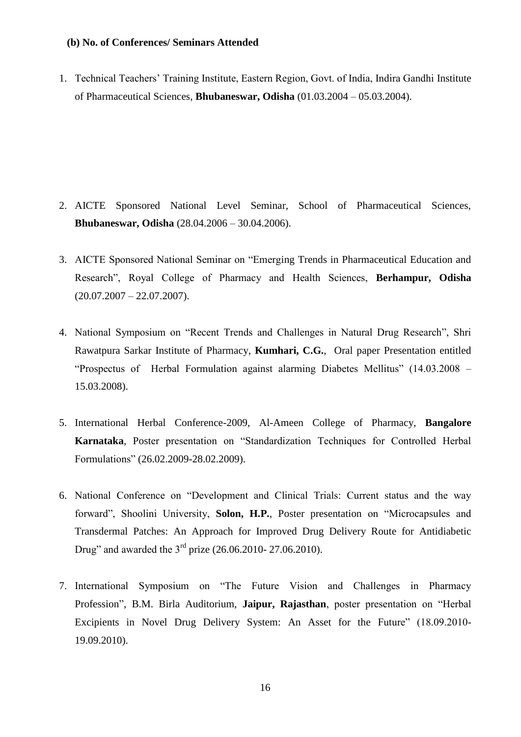#### **(b) No. of Conferences/ Seminars Attended**

1. Technical Teachers' Training Institute, Eastern Region, Govt. of India, Indira Gandhi Institute of Pharmaceutical Sciences, **Bhubaneswar, Odisha** (01.03.2004 – 05.03.2004).

- 2. AICTE Sponsored National Level Seminar, School of Pharmaceutical Sciences, **Bhubaneswar, Odisha** (28.04.2006 – 30.04.2006).
- 3. AICTE Sponsored National Seminar on "Emerging Trends in Pharmaceutical Education and Research", Royal College of Pharmacy and Health Sciences, **Berhampur, Odisha**  $(20.07.2007 - 22.07.2007)$ .
- 4. National Symposium on "Recent Trends and Challenges in Natural Drug Research", Shri Rawatpura Sarkar Institute of Pharmacy, **Kumhari, C.G.**, Oral paper Presentation entitled "Prospectus of Herbal Formulation against alarming Diabetes Mellitus" (14.03.2008 – 15.03.2008).
- 5. International Herbal Conference-2009, Al-Ameen College of Pharmacy, **Bangalore Karnataka**, Poster presentation on "Standardization Techniques for Controlled Herbal Formulations" (26.02.2009-28.02.2009).
- 6. National Conference on "Development and Clinical Trials: Current status and the way forward", Shoolini University, **Solon, H.P.**, Poster presentation on "Microcapsules and Transdermal Patches: An Approach for Improved Drug Delivery Route for Antidiabetic Drug" and awarded the 3rd prize (26.06.2010- 27.06.2010).
- 7. International Symposium on "The Future Vision and Challenges in Pharmacy Profession", B.M. Birla Auditorium, **Jaipur, Rajasthan**, poster presentation on "Herbal Excipients in Novel Drug Delivery System: An Asset for the Future" (18.09.2010- 19.09.2010).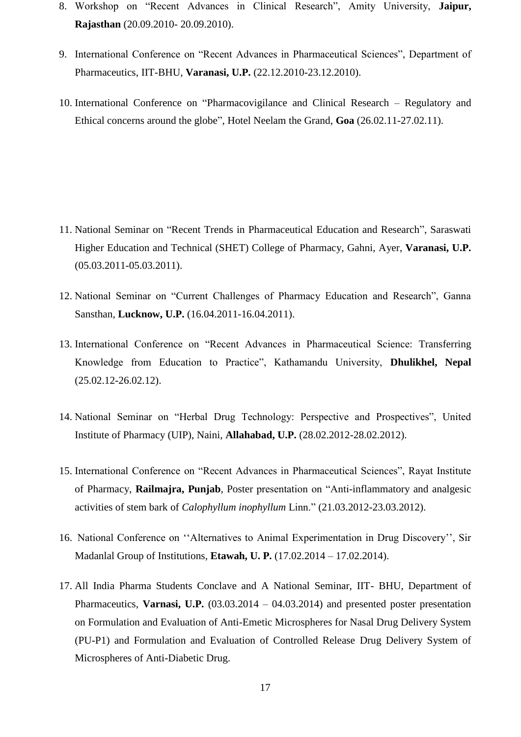- 8. Workshop on "Recent Advances in Clinical Research", Amity University, **Jaipur, Rajasthan** (20.09.2010- 20.09.2010).
- 9. International Conference on "Recent Advances in Pharmaceutical Sciences", Department of Pharmaceutics, IIT-BHU, **Varanasi, U.P.** (22.12.2010-23.12.2010).
- 10. International Conference on "Pharmacovigilance and Clinical Research Regulatory and Ethical concerns around the globe", Hotel Neelam the Grand, **Goa** (26.02.11-27.02.11).

- 11. National Seminar on "Recent Trends in Pharmaceutical Education and Research", Saraswati Higher Education and Technical (SHET) College of Pharmacy, Gahni, Ayer, **Varanasi, U.P.** (05.03.2011-05.03.2011).
- 12. National Seminar on "Current Challenges of Pharmacy Education and Research", Ganna Sansthan, **Lucknow, U.P.** (16.04.2011-16.04.2011).
- 13. International Conference on "Recent Advances in Pharmaceutical Science: Transferring Knowledge from Education to Practice", Kathamandu University, **Dhulikhel, Nepal** (25.02.12-26.02.12).
- 14. National Seminar on "Herbal Drug Technology: Perspective and Prospectives", United Institute of Pharmacy (UIP), Naini, **Allahabad, U.P.** (28.02.2012-28.02.2012).
- 15. International Conference on "Recent Advances in Pharmaceutical Sciences", Rayat Institute of Pharmacy, **Railmajra, Punjab**, Poster presentation on "Anti-inflammatory and analgesic activities of stem bark of *Calophyllum inophyllum* Linn." (21.03.2012-23.03.2012).
- 16. National Conference on "Alternatives to Animal Experimentation in Drug Discovery", Sir Madanlal Group of Institutions, **Etawah, U. P.** (17.02.2014 – 17.02.2014).
- 17. All India Pharma Students Conclave and A National Seminar, IIT- BHU, Department of Pharmaceutics, **Varnasi, U.P.** (03.03.2014 – 04.03.2014) and presented poster presentation on Formulation and Evaluation of Anti-Emetic Microspheres for Nasal Drug Delivery System (PU-P1) and Formulation and Evaluation of Controlled Release Drug Delivery System of Microspheres of Anti-Diabetic Drug.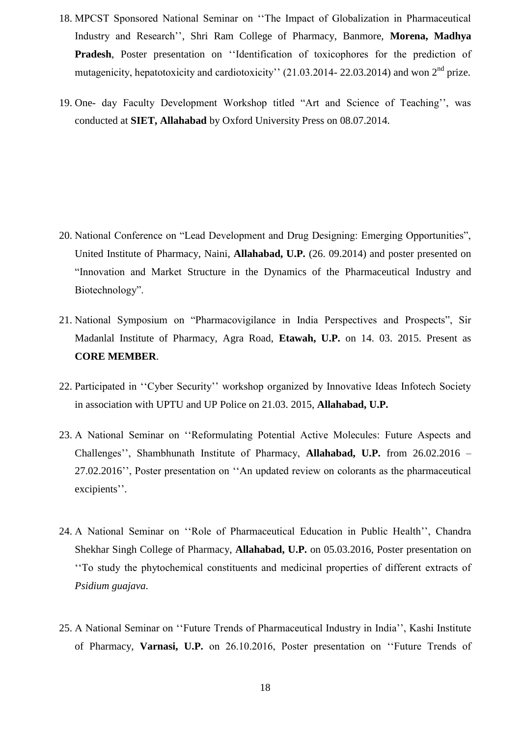- 18. MPCST Sponsored National Seminar on ""The Impact of Globalization in Pharmaceutical Industry and Research"", Shri Ram College of Pharmacy, Banmore, **Morena, Madhya**  Pradesh, Poster presentation on "Identification of toxicophores for the prediction of mutagenicity, hepatotoxicity and cardiotoxicity" (21.03.2014- 22.03.2014) and won 2<sup>nd</sup> prize.
- 19. One- day Faculty Development Workshop titled "Art and Science of Teaching", was conducted at **SIET, Allahabad** by Oxford University Press on 08.07.2014.

- 20. National Conference on "Lead Development and Drug Designing: Emerging Opportunities", United Institute of Pharmacy, Naini, **Allahabad, U.P.** (26. 09.2014) and poster presented on "Innovation and Market Structure in the Dynamics of the Pharmaceutical Industry and Biotechnology".
- 21. National Symposium on "Pharmacovigilance in India Perspectives and Prospects", Sir Madanlal Institute of Pharmacy, Agra Road, **Etawah, U.P.** on 14. 03. 2015. Present as **CORE MEMBER**.
- 22. Participated in "Cyber Security" workshop organized by Innovative Ideas Infotech Society in association with UPTU and UP Police on 21.03. 2015, **Allahabad, U.P.**
- 23. A National Seminar on ""Reformulating Potential Active Molecules: Future Aspects and Challenges"", Shambhunath Institute of Pharmacy, **Allahabad, U.P.** from 26.02.2016 – 27.02.2016", Poster presentation on "An updated review on colorants as the pharmaceutical excipients".
- 24. A National Seminar on ""Role of Pharmaceutical Education in Public Health"", Chandra Shekhar Singh College of Pharmacy, **Allahabad, U.P.** on 05.03.2016, Poster presentation on ""To study the phytochemical constituents and medicinal properties of different extracts of *Psidium guajava*.
- 25. A National Seminar on "Future Trends of Pharmaceutical Industry in India", Kashi Institute of Pharmacy, **Varnasi, U.P.** on 26.10.2016, Poster presentation on ""Future Trends of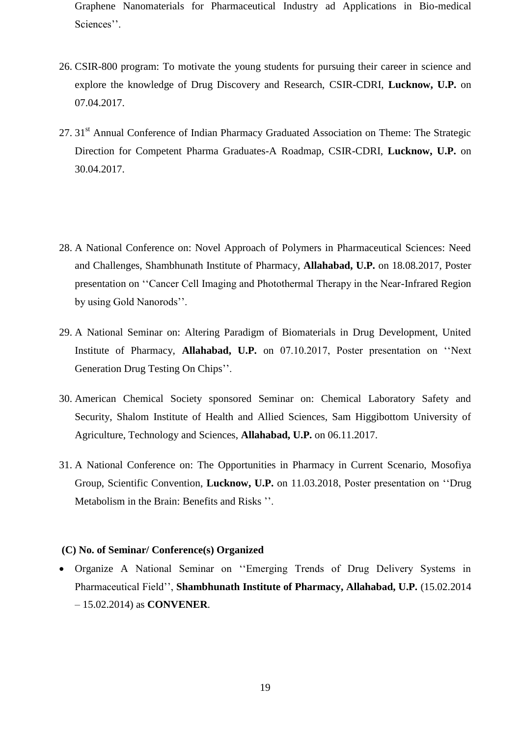Graphene Nanomaterials for Pharmaceutical Industry ad Applications in Bio-medical Sciences".

- 26. CSIR-800 program: To motivate the young students for pursuing their career in science and explore the knowledge of Drug Discovery and Research, CSIR-CDRI, **Lucknow, U.P.** on 07.04.2017.
- 27. 31<sup>st</sup> Annual Conference of Indian Pharmacy Graduated Association on Theme: The Strategic Direction for Competent Pharma Graduates-A Roadmap, CSIR-CDRI, **Lucknow, U.P.** on 30.04.2017.
- 28. A National Conference on: Novel Approach of Polymers in Pharmaceutical Sciences: Need and Challenges, Shambhunath Institute of Pharmacy, **Allahabad, U.P.** on 18.08.2017, Poster presentation on ""Cancer Cell Imaging and Photothermal Therapy in the Near-Infrared Region by using Gold Nanorods".
- 29. A National Seminar on: Altering Paradigm of Biomaterials in Drug Development, United Institute of Pharmacy, **Allahabad, U.P.** on 07.10.2017, Poster presentation on ""Next Generation Drug Testing On Chips".
- 30. American Chemical Society sponsored Seminar on: Chemical Laboratory Safety and Security, Shalom Institute of Health and Allied Sciences, Sam Higgibottom University of Agriculture, Technology and Sciences, **Allahabad, U.P.** on 06.11.2017.
- 31. A National Conference on: The Opportunities in Pharmacy in Current Scenario, Mosofiya Group, Scientific Convention, **Lucknow, U.P.** on 11.03.2018, Poster presentation on ""Drug Metabolism in the Brain: Benefits and Risks ".

#### **(C) No. of Seminar/ Conference(s) Organized**

 Organize A National Seminar on ""Emerging Trends of Drug Delivery Systems in Pharmaceutical Field"", **Shambhunath Institute of Pharmacy, Allahabad, U.P.** (15.02.2014 – 15.02.2014) as **CONVENER**.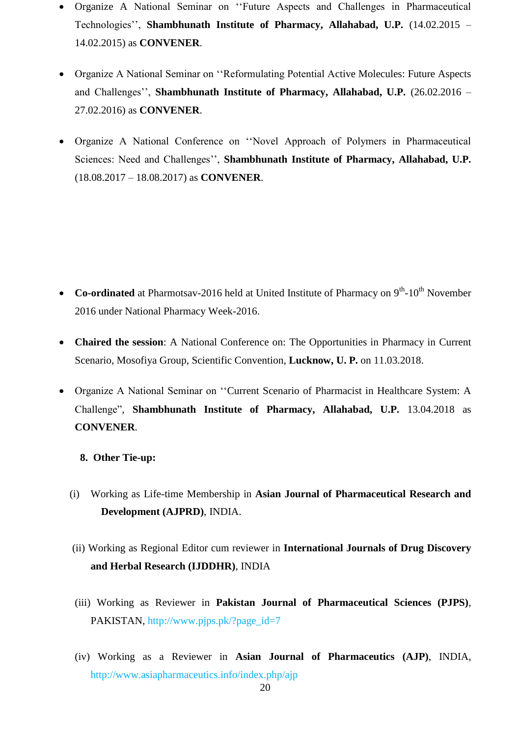- Organize A National Seminar on ""Future Aspects and Challenges in Pharmaceutical Technologies"", **Shambhunath Institute of Pharmacy, Allahabad, U.P.** (14.02.2015 – 14.02.2015) as **CONVENER**.
- Organize A National Seminar on ""Reformulating Potential Active Molecules: Future Aspects and Challenges"", **Shambhunath Institute of Pharmacy, Allahabad, U.P.** (26.02.2016 – 27.02.2016) as **CONVENER**.
- Organize A National Conference on ""Novel Approach of Polymers in Pharmaceutical Sciences: Need and Challenges"", **Shambhunath Institute of Pharmacy, Allahabad, U.P.** (18.08.2017 – 18.08.2017) as **CONVENER**.

- Co-ordinated at Pharmotsav-2016 held at United Institute of Pharmacy on 9<sup>th</sup>-10<sup>th</sup> November 2016 under National Pharmacy Week-2016.
- **Chaired the session**: A National Conference on: The Opportunities in Pharmacy in Current Scenario, Mosofiya Group, Scientific Convention, **Lucknow, U. P.** on 11.03.2018.
- Organize A National Seminar on ""Current Scenario of Pharmacist in Healthcare System: A Challenge", **Shambhunath Institute of Pharmacy, Allahabad, U.P.** 13.04.2018 as **CONVENER**.
	- **8. Other Tie-up:**
	- (i) Working as Life-time Membership in **Asian Journal of Pharmaceutical Research and Development (AJPRD)**, INDIA.
	- (ii) Working as Regional Editor cum reviewer in **International Journals of Drug Discovery and Herbal Research (IJDDHR)**, INDIA
	- (iii) Working as Reviewer in **Pakistan Journal of Pharmaceutical Sciences (PJPS)**, PAKISTAN, http://www.pjps.pk/?page\_id=7
	- (iv) Working as a Reviewer in **Asian Journal of Pharmaceutics (AJP)**, INDIA, http://www.asiapharmaceutics.info/index.php/ajp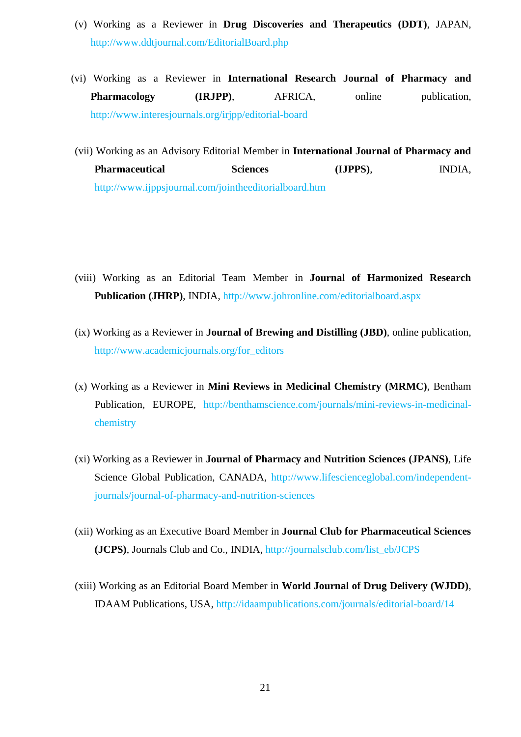- (v) Working as a Reviewer in **Drug Discoveries and Therapeutics (DDT)**, JAPAN, http://www.ddtjournal.com/EditorialBoard.php
- (vi) Working as a Reviewer in **International Research Journal of Pharmacy and Pharmacology** (**IRJPP**), AFRICA, online publication, http://www.interesjournals.org/irjpp/editorial-board
- (vii) Working as an Advisory Editorial Member in **International Journal of Pharmacy and Pharmaceutical Sciences (IJPPS)**, INDIA, http://www.ijppsjournal.com/jointheeditorialboard.htm

- (viii) Working as an Editorial Team Member in **Journal of Harmonized Research Publication (JHRP)**, INDIA, http://www.johronline.com/editorialboard.aspx
- (ix) Working as a Reviewer in **Journal of Brewing and Distilling (JBD)**, online publication, http://www.academicjournals.org/for\_editors
- (x) Working as a Reviewer in **Mini Reviews in Medicinal Chemistry (MRMC)**, Bentham Publication, EUROPE, http://benthamscience.com/journals/mini-reviews-in-medicinalchemistry
- (xi) Working as a Reviewer in **Journal of Pharmacy and Nutrition Sciences (JPANS)**, Life Science Global Publication, CANADA, http://www.lifescienceglobal.com/independentjournals/journal-of-pharmacy-and-nutrition-sciences
- (xii) Working as an Executive Board Member in **Journal Club for Pharmaceutical Sciences (JCPS)**, Journals Club and Co., INDIA, http://journalsclub.com/list\_eb/JCPS
- (xiii) Working as an Editorial Board Member in **World Journal of Drug Delivery (WJDD)**, IDAAM Publications, USA, http://idaampublications.com/journals/editorial-board/14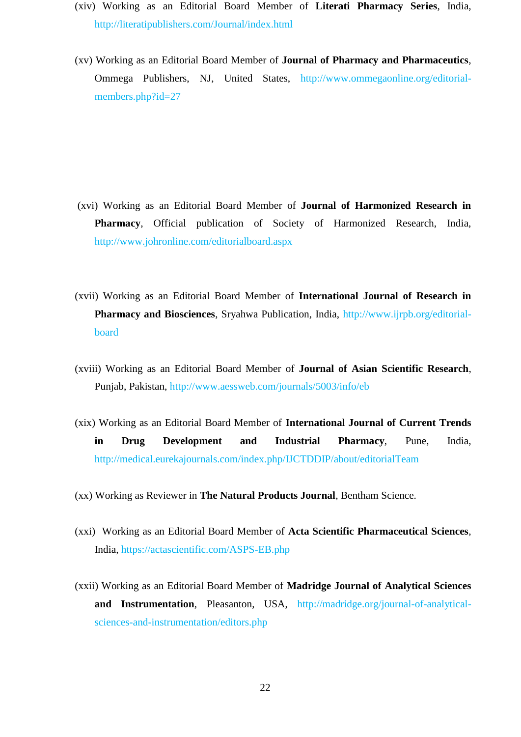- (xiv) Working as an Editorial Board Member of **Literati Pharmacy Series**, India, <http://literatipublishers.com/Journal/index.html>
- (xv) Working as an Editorial Board Member of **Journal of Pharmacy and Pharmaceutics**, Ommega Publishers, NJ, United States, [http://www.ommegaonline.org/editorial](http://www.ommegaonline.org/editorial-members.php?id=27)[members.php?id=27](http://www.ommegaonline.org/editorial-members.php?id=27)

- (xvi) Working as an Editorial Board Member of **Journal of Harmonized Research in Pharmacy**, Official publication of Society of Harmonized Research, India, http://www.johronline.com/editorialboard.aspx
- (xvii) Working as an Editorial Board Member of **International Journal of Research in Pharmacy and Biosciences**, Sryahwa Publication, India, [http://www.ijrpb.org/editorial](http://www.ijrpb.org/editorial-board)[board](http://www.ijrpb.org/editorial-board)
- (xviii) Working as an Editorial Board Member of **Journal of Asian Scientific Research**, Punjab, Pakistan,<http://www.aessweb.com/journals/5003/info/eb>
- (xix) Working as an Editorial Board Member of **International Journal of Current Trends in Drug Development and Industrial Pharmacy**, Pune, India, <http://medical.eurekajournals.com/index.php/IJCTDDIP/about/editorialTeam>
- (xx) Working as Reviewer in **The Natural Products Journal**, Bentham Science.
- (xxi) Working as an Editorial Board Member of **Acta Scientific Pharmaceutical Sciences**, India,<https://actascientific.com/ASPS-EB.php>
- (xxii) Working as an Editorial Board Member of **Madridge Journal of Analytical Sciences and Instrumentation**, Pleasanton, USA, [http://madridge.org/journal-of-analytical](http://madridge.org/journal-of-analytical-sciences-and-instrumentation/editors.php)[sciences-and-instrumentation/editors.php](http://madridge.org/journal-of-analytical-sciences-and-instrumentation/editors.php)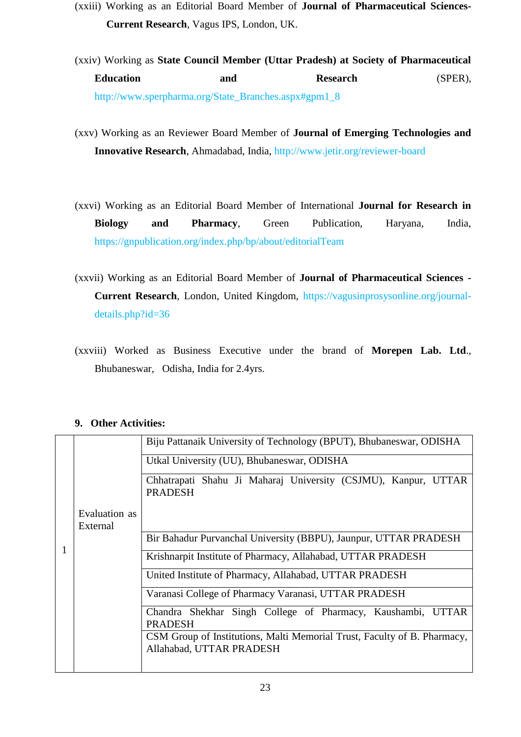- (xxiii) Working as an Editorial Board Member of **Journal of Pharmaceutical Sciences-Current Research**, Vagus IPS, London, UK.
- (xxiv) Working as **State Council Member (Uttar Pradesh) at Society of Pharmaceutical**  Education and **Research** (SPER), [http://www.sperpharma.org/State\\_Branches.aspx#gpm1\\_8](http://www.sperpharma.org/State_Branches.aspx#gpm1_8)
- (xxv) Working as an Reviewer Board Member of **Journal of Emerging Technologies and Innovative Research**, Ahmadabad, India,<http://www.jetir.org/reviewer-board>
- (xxvi) Working as an Editorial Board Member of International **Journal for Research in Biology and Pharmacy**, Green Publication, Haryana, India, https://gnpublication.org/index.php/bp/about/editorialTeam
- (xxvii) Working as an Editorial Board Member of **Journal of Pharmaceutical Sciences - Current Research**, London, United Kingdom, https://vagusinprosysonline.org/journaldetails.php?id=36
- (xxviii) Worked as Business Executive under the brand of **Morepen Lab. Ltd**., Bhubaneswar, Odisha, India for 2.4yrs.

## **9. Other Activities:**

|                           | Biju Pattanaik University of Technology (BPUT), Bhubaneswar, ODISHA                                  |  |  |
|---------------------------|------------------------------------------------------------------------------------------------------|--|--|
|                           | Utkal University (UU), Bhubaneswar, ODISHA                                                           |  |  |
|                           | Chhatrapati Shahu Ji Maharaj University (CSJMU), Kanpur, UTTAR<br><b>PRADESH</b>                     |  |  |
| Evaluation as<br>External |                                                                                                      |  |  |
|                           | Bir Bahadur Purvanchal University (BBPU), Jaunpur, UTTAR PRADESH                                     |  |  |
|                           | Krishnarpit Institute of Pharmacy, Allahabad, UTTAR PRADESH                                          |  |  |
|                           | United Institute of Pharmacy, Allahabad, UTTAR PRADESH                                               |  |  |
|                           | Varanasi College of Pharmacy Varanasi, UTTAR PRADESH                                                 |  |  |
|                           | Chandra Shekhar Singh College of Pharmacy, Kaushambi, UTTAR<br><b>PRADESH</b>                        |  |  |
|                           | CSM Group of Institutions, Malti Memorial Trust, Faculty of B. Pharmacy,<br>Allahabad, UTTAR PRADESH |  |  |
|                           |                                                                                                      |  |  |